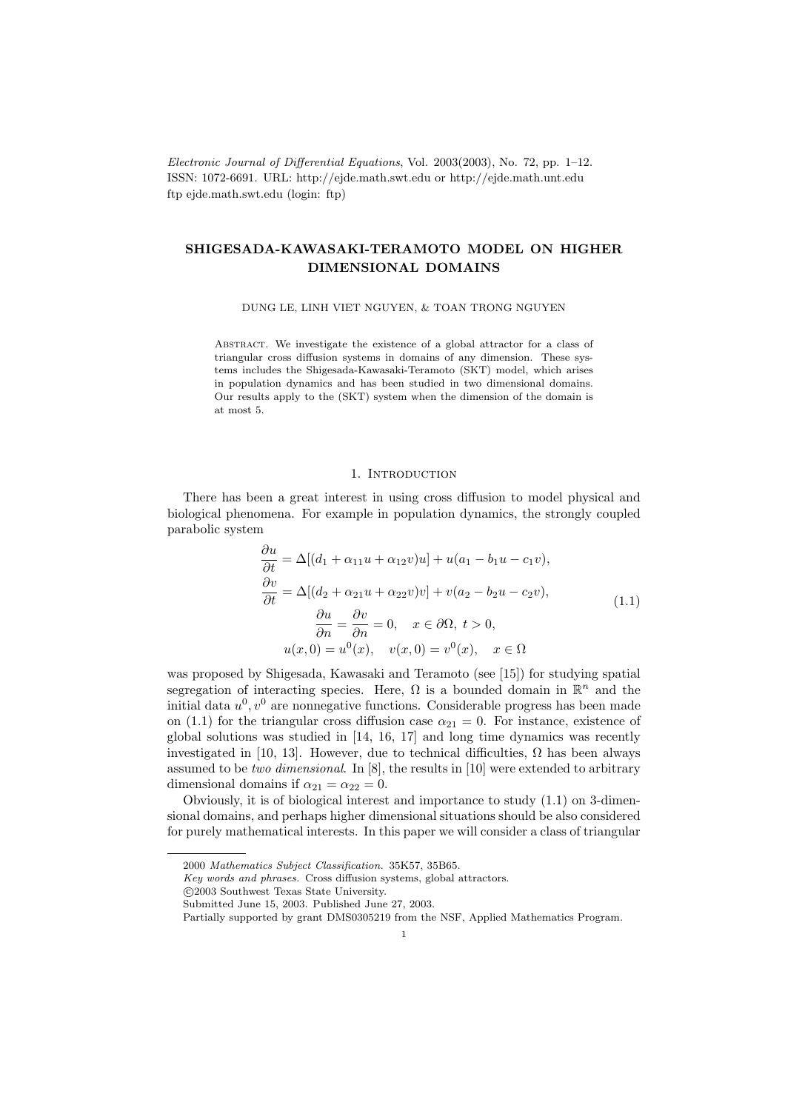Electronic Journal of Differential Equations, Vol. 2003(2003), No. 72, pp. 1–12. ISSN: 1072-6691. URL: http://ejde.math.swt.edu or http://ejde.math.unt.edu ftp ejde.math.swt.edu (login: ftp)

# SHIGESADA-KAWASAKI-TERAMOTO MODEL ON HIGHER DIMENSIONAL DOMAINS

DUNG LE, LINH VIET NGUYEN, & TOAN TRONG NGUYEN

Abstract. We investigate the existence of a global attractor for a class of triangular cross diffusion systems in domains of any dimension. These systems includes the Shigesada-Kawasaki-Teramoto (SKT) model, which arises in population dynamics and has been studied in two dimensional domains. Our results apply to the (SKT) system when the dimension of the domain is at most 5.

### 1. INTRODUCTION

There has been a great interest in using cross diffusion to model physical and biological phenomena. For example in population dynamics, the strongly coupled parabolic system

$$
\frac{\partial u}{\partial t} = \Delta [(d_1 + \alpha_{11}u + \alpha_{12}v)u] + u(a_1 - b_1u - c_1v),\n\frac{\partial v}{\partial t} = \Delta [(d_2 + \alpha_{21}u + \alpha_{22}v)v] + v(a_2 - b_2u - c_2v),\n\frac{\partial u}{\partial n} = \frac{\partial v}{\partial n} = 0, \quad x \in \partial\Omega, t > 0,\nu(x, 0) = u^0(x), \quad v(x, 0) = v^0(x), \quad x \in \Omega
$$
\n(1.1)

was proposed by Shigesada, Kawasaki and Teramoto (see [15]) for studying spatial segregation of interacting species. Here,  $\Omega$  is a bounded domain in  $\mathbb{R}^n$  and the initial data  $u^0, v^0$  are nonnegative functions. Considerable progress has been made on (1.1) for the triangular cross diffusion case  $\alpha_{21} = 0$ . For instance, existence of global solutions was studied in [14, 16, 17] and long time dynamics was recently investigated in [10, 13]. However, due to technical difficulties,  $\Omega$  has been always assumed to be *two dimensional.* In  $[8]$ , the results in  $[10]$  were extended to arbitrary dimensional domains if  $\alpha_{21} = \alpha_{22} = 0$ .

Obviously, it is of biological interest and importance to study (1.1) on 3-dimensional domains, and perhaps higher dimensional situations should be also considered for purely mathematical interests. In this paper we will consider a class of triangular

c 2003 Southwest Texas State University.

<sup>2000</sup> Mathematics Subject Classification. 35K57, 35B65.

Key words and phrases. Cross diffusion systems, global attractors.

Submitted June 15, 2003. Published June 27, 2003.

Partially supported by grant DMS0305219 from the NSF, Applied Mathematics Program.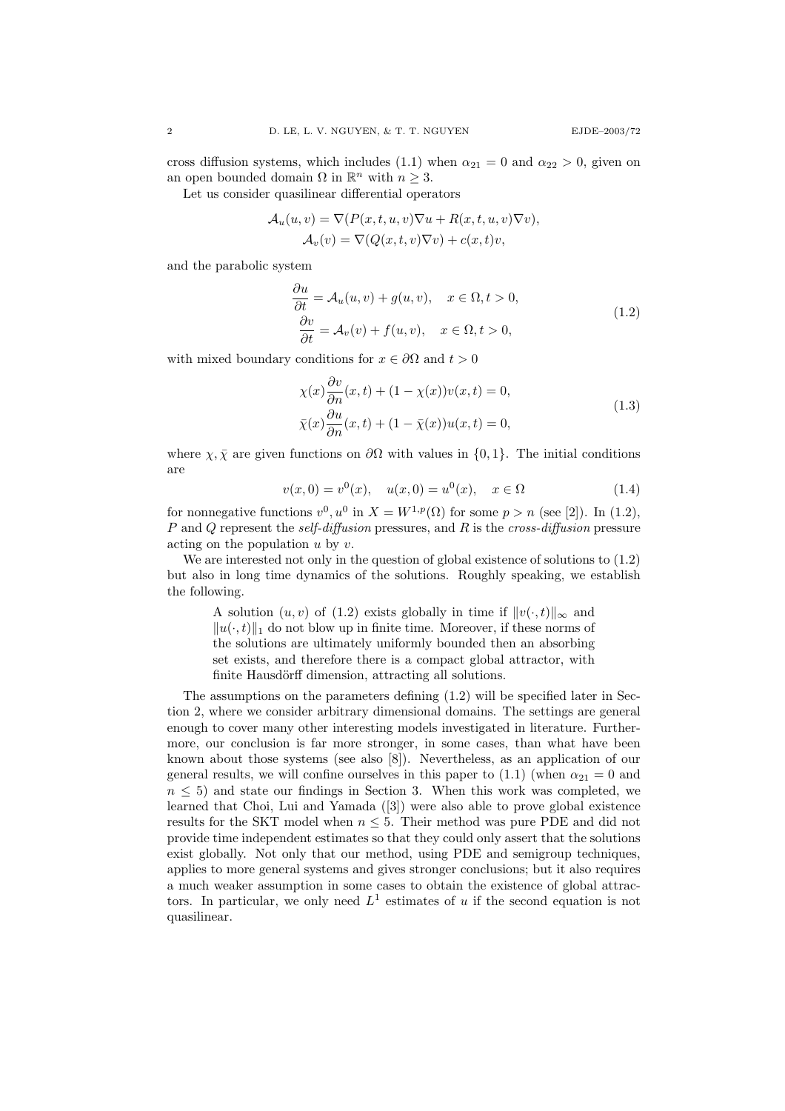cross diffusion systems, which includes (1.1) when  $\alpha_{21} = 0$  and  $\alpha_{22} > 0$ , given on an open bounded domain  $\Omega$  in  $\mathbb{R}^n$  with  $n \geq 3$ .

Let us consider quasilinear differential operators

$$
\mathcal{A}_u(u, v) = \nabla(P(x, t, u, v)\nabla u + R(x, t, u, v)\nabla v),
$$
  

$$
\mathcal{A}_v(v) = \nabla(Q(x, t, v)\nabla v) + c(x, t)v,
$$

and the parabolic system

$$
\frac{\partial u}{\partial t} = \mathcal{A}_u(u, v) + g(u, v), \quad x \in \Omega, t > 0,
$$
  

$$
\frac{\partial v}{\partial t} = \mathcal{A}_v(v) + f(u, v), \quad x \in \Omega, t > 0,
$$
 (1.2)

with mixed boundary conditions for  $x \in \partial\Omega$  and  $t > 0$ 

$$
\chi(x)\frac{\partial v}{\partial n}(x,t) + (1 - \chi(x))v(x,t) = 0,
$$
  
\n
$$
\bar{\chi}(x)\frac{\partial u}{\partial n}(x,t) + (1 - \bar{\chi}(x))u(x,t) = 0,
$$
\n(1.3)

where  $\chi, \bar{\chi}$  are given functions on  $\partial\Omega$  with values in {0, 1}. The initial conditions are

$$
v(x,0) = v^{0}(x), \quad u(x,0) = u^{0}(x), \quad x \in \Omega
$$
\n(1.4)

for nonnegative functions  $v^0, u^0$  in  $X = W^{1,p}(\Omega)$  for some  $p > n$  (see [2]). In (1.2), P and Q represent the *self-diffusion* pressures, and R is the *cross-diffusion* pressure acting on the population  $u$  by  $v$ .

We are interested not only in the question of global existence of solutions to  $(1.2)$ but also in long time dynamics of the solutions. Roughly speaking, we establish the following.

A solution  $(u, v)$  of  $(1.2)$  exists globally in time if  $||v(\cdot, t)||_{\infty}$  and  $||u(\cdot, t)||_1$  do not blow up in finite time. Moreover, if these norms of the solutions are ultimately uniformly bounded then an absorbing set exists, and therefore there is a compact global attractor, with finite Hausdörff dimension, attracting all solutions.

The assumptions on the parameters defining (1.2) will be specified later in Section 2, where we consider arbitrary dimensional domains. The settings are general enough to cover many other interesting models investigated in literature. Furthermore, our conclusion is far more stronger, in some cases, than what have been known about those systems (see also [8]). Nevertheless, as an application of our general results, we will confine ourselves in this paper to (1.1) (when  $\alpha_{21} = 0$  and  $n \leq 5$ ) and state our findings in Section 3. When this work was completed, we learned that Choi, Lui and Yamada ([3]) were also able to prove global existence results for the SKT model when  $n \leq 5$ . Their method was pure PDE and did not provide time independent estimates so that they could only assert that the solutions exist globally. Not only that our method, using PDE and semigroup techniques, applies to more general systems and gives stronger conclusions; but it also requires a much weaker assumption in some cases to obtain the existence of global attractors. In particular, we only need  $L^1$  estimates of u if the second equation is not quasilinear.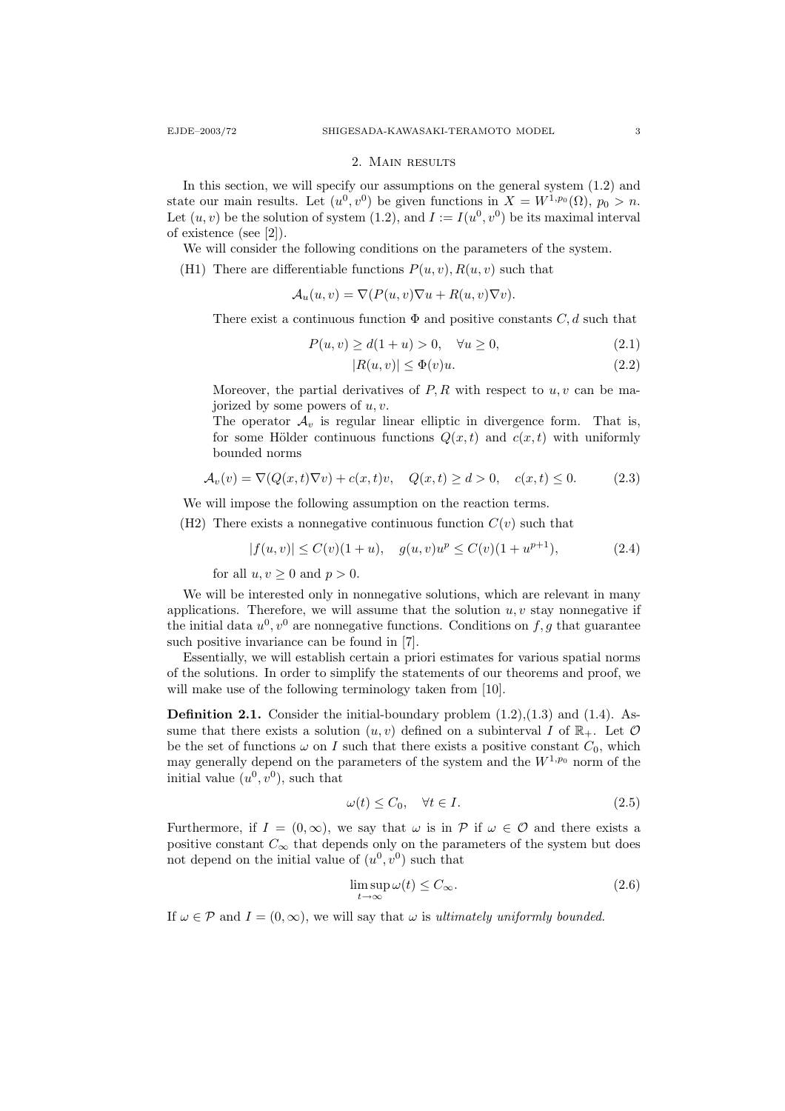#### 2. Main results

In this section, we will specify our assumptions on the general system (1.2) and state our main results. Let  $(u^0, v^0)$  be given functions in  $X = W^{1,p_0}(\Omega)$ ,  $p_0 > n$ . Let  $(u, v)$  be the solution of system (1.2), and  $I := I(u^0, v^0)$  be its maximal interval of existence (see [2]).

We will consider the following conditions on the parameters of the system.

(H1) There are differentiable functions  $P(u, v)$ ,  $R(u, v)$  such that

$$
\mathcal{A}_u(u,v) = \nabla(P(u,v)\nabla u + R(u,v)\nabla v).
$$

There exist a continuous function  $\Phi$  and positive constants  $C, d$  such that

$$
P(u, v) \ge d(1 + u) > 0, \quad \forall u \ge 0,
$$
\n(2.1)

$$
|R(u,v)| \le \Phi(v)u. \tag{2.2}
$$

Moreover, the partial derivatives of  $P, R$  with respect to  $u, v$  can be majorized by some powers of  $u, v$ .

The operator  $A_n$  is regular linear elliptic in divergence form. That is, for some Hölder continuous functions  $Q(x, t)$  and  $c(x, t)$  with uniformly bounded norms

$$
\mathcal{A}_v(v) = \nabla(Q(x, t)\nabla v) + c(x, t)v, \quad Q(x, t) \ge d > 0, \quad c(x, t) \le 0.
$$
 (2.3)

We will impose the following assumption on the reaction terms.

(H2) There exists a nonnegative continuous function  $C(v)$  such that

$$
|f(u,v)| \le C(v)(1+u), \quad g(u,v)u^p \le C(v)(1+u^{p+1}), \tag{2.4}
$$

for all  $u, v \geq 0$  and  $p > 0$ .

We will be interested only in nonnegative solutions, which are relevant in many applications. Therefore, we will assume that the solution  $u, v$  stay nonnegative if the initial data  $u^0, v^0$  are nonnegative functions. Conditions on  $f, g$  that guarantee such positive invariance can be found in [7].

Essentially, we will establish certain a priori estimates for various spatial norms of the solutions. In order to simplify the statements of our theorems and proof, we will make use of the following terminology taken from [10].

**Definition 2.1.** Consider the initial-boundary problem  $(1.2)$ , $(1.3)$  and  $(1.4)$ . Assume that there exists a solution  $(u, v)$  defined on a subinterval I of  $\mathbb{R}_+$ . Let  $\mathcal O$ be the set of functions  $\omega$  on I such that there exists a positive constant  $C_0$ , which may generally depend on the parameters of the system and the  $W^{1,p_0}$  norm of the initial value  $(u^0, v^0)$ , such that

$$
\omega(t) \le C_0, \quad \forall t \in I. \tag{2.5}
$$

Furthermore, if  $I = (0, \infty)$ , we say that  $\omega$  is in  $\mathcal P$  if  $\omega \in \mathcal O$  and there exists a positive constant  $C_{\infty}$  that depends only on the parameters of the system but does not depend on the initial value of  $(u^0, v^0)$  such that

$$
\limsup_{t \to \infty} \omega(t) \le C_{\infty}.\tag{2.6}
$$

If  $\omega \in \mathcal{P}$  and  $I = (0, \infty)$ , we will say that  $\omega$  is ultimately uniformly bounded.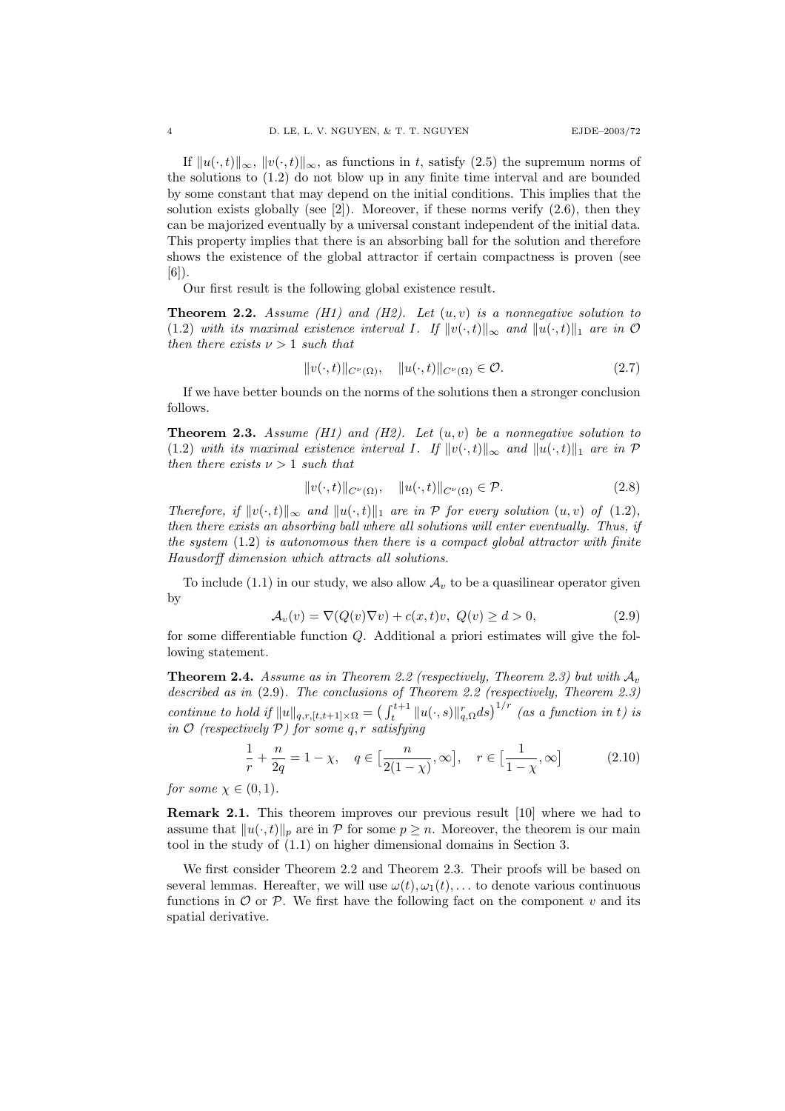If  $||u(\cdot, t)||_{\infty}$ ,  $||v(\cdot, t)||_{\infty}$ , as functions in t, satisfy (2.5) the supremum norms of the solutions to (1.2) do not blow up in any finite time interval and are bounded by some constant that may depend on the initial conditions. This implies that the solution exists globally (see  $[2]$ ). Moreover, if these norms verify  $(2.6)$ , then they can be majorized eventually by a universal constant independent of the initial data. This property implies that there is an absorbing ball for the solution and therefore shows the existence of the global attractor if certain compactness is proven (see [6]).

Our first result is the following global existence result.

**Theorem 2.2.** Assume (H1) and (H2). Let  $(u, v)$  is a nonnegative solution to (1.2) with its maximal existence interval I. If  $||v(\cdot, t)||_{\infty}$  and  $||u(\cdot, t)||_1$  are in O then there exists  $\nu > 1$  such that

$$
||v(\cdot,t)||_{C^{\nu}(\Omega)}, \quad ||u(\cdot,t)||_{C^{\nu}(\Omega)} \in \mathcal{O}.
$$
\n(2.7)

If we have better bounds on the norms of the solutions then a stronger conclusion follows.

**Theorem 2.3.** Assume (H1) and (H2). Let  $(u, v)$  be a nonnegative solution to (1.2) with its maximal existence interval I. If  $||v(\cdot, t)||_{\infty}$  and  $||u(\cdot, t)||_1$  are in P then there exists  $\nu > 1$  such that

$$
||v(\cdot,t)||_{C^{\nu}(\Omega)}, \quad ||u(\cdot,t)||_{C^{\nu}(\Omega)} \in \mathcal{P}.
$$
\n(2.8)

Therefore, if  $||v(\cdot, t)||_{\infty}$  and  $||u(\cdot, t)||_{1}$  are in P for every solution  $(u, v)$  of  $(1.2)$ , then there exists an absorbing ball where all solutions will enter eventually. Thus, if the system  $(1.2)$  is autonomous then there is a compact global attractor with finite Hausdorff dimension which attracts all solutions.

To include (1.1) in our study, we also allow  $A<sub>v</sub>$  to be a quasilinear operator given by

$$
\mathcal{A}_v(v) = \nabla(Q(v)\nabla v) + c(x,t)v, \ Q(v) \ge d > 0,
$$
\n(2.9)

for some differentiable function  $Q$ . Additional a priori estimates will give the following statement.

**Theorem 2.4.** Assume as in Theorem 2.2 (respectively, Theorem 2.3) but with  $\mathcal{A}_v$ described as in  $(2.9)$ . The conclusions of Theorem 2.2 (respectively, Theorem 2.3) continue to hold if  $||u||_{q,r,[t,t+1]\times\Omega} = \left(\int_t^{t+1} ||u(\cdot,s)||^r_{q,\Omega}ds\right)^{1/r}$  (as a function in t) is in  $\mathcal O$  (respectively  $\mathcal P$ ) for some q, r satisfying

$$
\frac{1}{r} + \frac{n}{2q} = 1 - \chi, \quad q \in \left[\frac{n}{2(1-\chi)}, \infty\right], \quad r \in \left[\frac{1}{1-\chi}, \infty\right] \tag{2.10}
$$

for some  $\chi \in (0,1)$ .

Remark 2.1. This theorem improves our previous result [10] where we had to assume that  $||u(\cdot, t)||_p$  are in P for some  $p \geq n$ . Moreover, the theorem is our main tool in the study of (1.1) on higher dimensional domains in Section 3.

We first consider Theorem 2.2 and Theorem 2.3. Their proofs will be based on several lemmas. Hereafter, we will use  $\omega(t), \omega_1(t), \ldots$  to denote various continuous functions in  $\mathcal O$  or  $\mathcal P$ . We first have the following fact on the component v and its spatial derivative.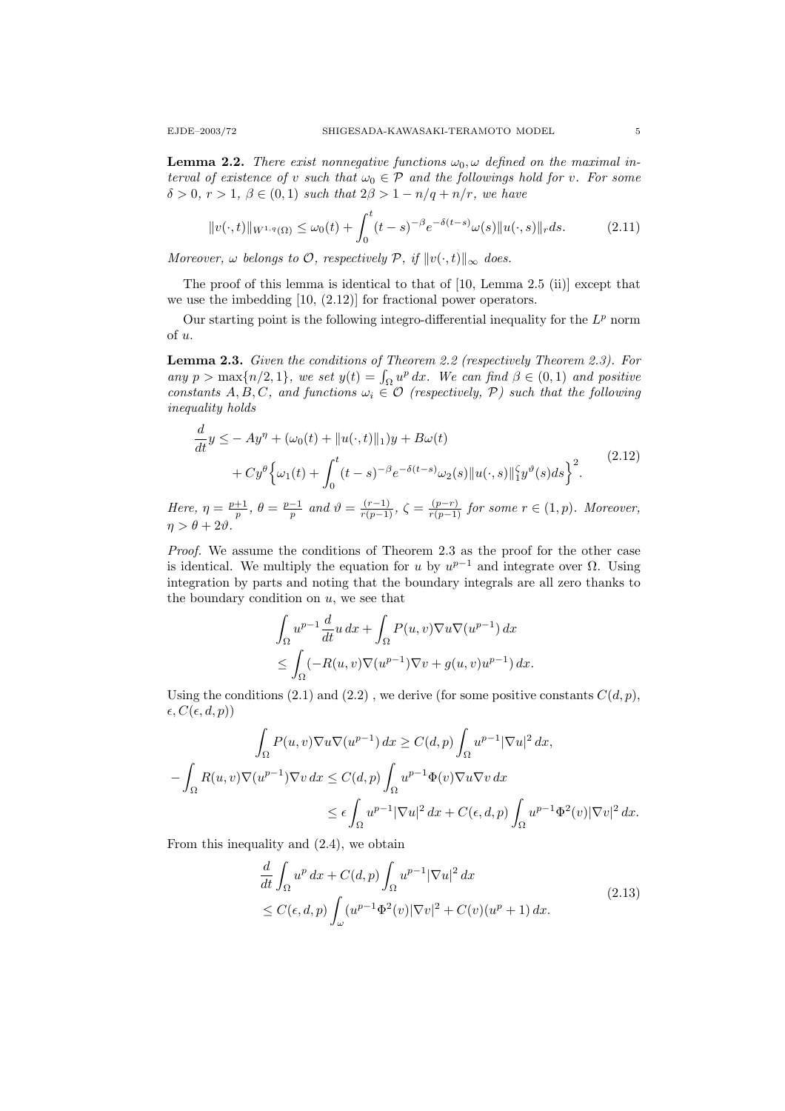**Lemma 2.2.** There exist nonnegative functions  $\omega_0$ ,  $\omega$  defined on the maximal interval of existence of v such that  $\omega_0 \in \mathcal{P}$  and the followings hold for v. For some  $\delta > 0$ ,  $r > 1$ ,  $\beta \in (0, 1)$  such that  $2\beta > 1 - n/q + n/r$ , we have

$$
||v(\cdot,t)||_{W^{1,q}(\Omega)} \le \omega_0(t) + \int_0^t (t-s)^{-\beta} e^{-\delta(t-s)} \omega(s) ||u(\cdot,s)||_r ds. \tag{2.11}
$$

Moreover,  $\omega$  belongs to  $\mathcal{O}$ , respectively  $\mathcal{P}$ , if  $||v(\cdot, t)||_{\infty}$  does.

The proof of this lemma is identical to that of [10, Lemma 2.5 (ii)] except that we use the imbedding [10, (2.12)] for fractional power operators.

Our starting point is the following integro-differential inequality for the  $L^p$  norm of u.

Lemma 2.3. Given the conditions of Theorem 2.2 (respectively Theorem 2.3). For any  $p > \max\{n/2, 1\}$ , we set  $y(t) = \int_{\Omega} u^p dx$ . We can find  $\beta \in (0, 1)$  and positive constants A, B, C, and functions  $\omega_i \in \mathcal{O}$  (respectively, P) such that the following inequality holds

$$
\frac{d}{dt}y \le -Ay^{\eta} + (\omega_0(t) + ||u(\cdot, t)||_1)y + B\omega(t) \n+ Cy^{\theta} \Big\{\omega_1(t) + \int_0^t (t-s)^{-\beta} e^{-\delta(t-s)} \omega_2(s) ||u(\cdot, s)||_1^s y^{\theta}(s) ds\Big\}^2.
$$
\n(2.12)

Here,  $\eta = \frac{p+1}{p}$ ,  $\theta = \frac{p-1}{p}$  and  $\vartheta = \frac{(r-1)}{r(p-1)}$ ,  $\zeta = \frac{(p-r)}{r(p-1)}$  for some  $r \in (1, p)$ . Moreover,  $\eta > \theta + 2\vartheta$ .

Proof. We assume the conditions of Theorem 2.3 as the proof for the other case is identical. We multiply the equation for u by  $u^{p-1}$  and integrate over  $\Omega$ . Using integration by parts and noting that the boundary integrals are all zero thanks to the boundary condition on  $u$ , we see that

$$
\int_{\Omega} u^{p-1} \frac{d}{dt} u \, dx + \int_{\Omega} P(u, v) \nabla u \nabla (u^{p-1}) \, dx
$$
  

$$
\leq \int_{\Omega} (-R(u, v) \nabla (u^{p-1}) \nabla v + g(u, v) u^{p-1}) \, dx.
$$

Using the conditions (2.1) and (2.2), we derive (for some positive constants  $C(d, p)$ ,  $\epsilon, C(\epsilon, d, p))$ 

$$
\int_{\Omega} P(u, v) \nabla u \nabla (u^{p-1}) dx \ge C(d, p) \int_{\Omega} u^{p-1} |\nabla u|^2 dx,
$$
  

$$
- \int_{\Omega} R(u, v) \nabla (u^{p-1}) \nabla v dx \le C(d, p) \int_{\Omega} u^{p-1} \Phi(v) \nabla u \nabla v dx
$$
  

$$
\le \epsilon \int_{\Omega} u^{p-1} |\nabla u|^2 dx + C(\epsilon, d, p) \int_{\Omega} u^{p-1} \Phi^2(v) |\nabla v|^2 dx.
$$

From this inequality and (2.4), we obtain

$$
\frac{d}{dt} \int_{\Omega} u^p dx + C(d, p) \int_{\Omega} u^{p-1} |\nabla u|^2 dx
$$
\n
$$
\leq C(\epsilon, d, p) \int_{\omega} (u^{p-1} \Phi^2(v) |\nabla v|^2 + C(v) (u^p + 1) dx.
$$
\n(2.13)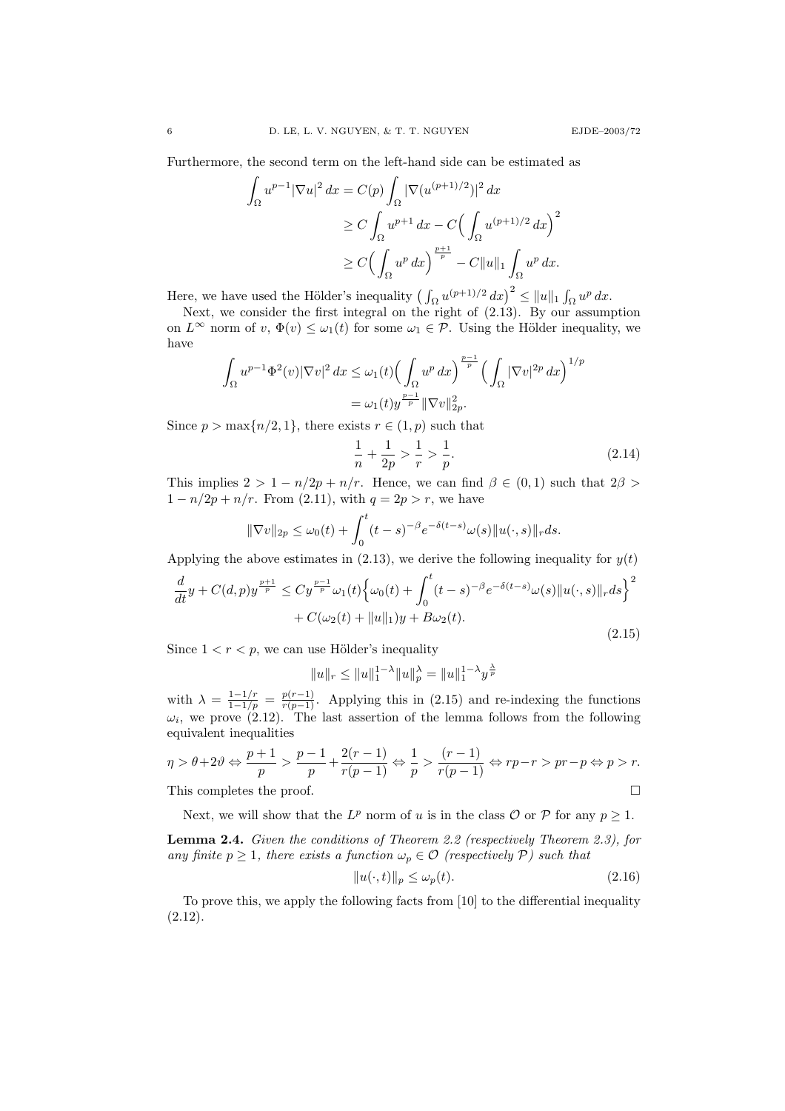Furthermore, the second term on the left-hand side can be estimated as

$$
\int_{\Omega} u^{p-1} |\nabla u|^2 dx = C(p) \int_{\Omega} |\nabla (u^{(p+1)/2})|^2 dx
$$
  
\n
$$
\geq C \int_{\Omega} u^{p+1} dx - C \Big( \int_{\Omega} u^{(p+1)/2} dx \Big)^2
$$
  
\n
$$
\geq C \Big( \int_{\Omega} u^p dx \Big)^{\frac{p+1}{p}} - C ||u||_1 \int_{\Omega} u^p dx.
$$

Here, we have used the Hölder's inequality  $\left(\int_{\Omega} u^{(p+1)/2} dx\right)^2 \leq ||u||_1 \int_{\Omega} u^p dx$ .

Next, we consider the first integral on the right of  $(2.13)$ . By our assumption on  $L^{\infty}$  norm of  $v, \Phi(v) \leq \omega_1(t)$  for some  $\omega_1 \in \mathcal{P}$ . Using the Hölder inequality, we have

$$
\int_{\Omega} u^{p-1} \Phi^2(v) |\nabla v|^2 dx \le \omega_1(t) \Big( \int_{\Omega} u^p dx \Big)^{\frac{p-1}{p}} \Big( \int_{\Omega} |\nabla v|^{2p} dx \Big)^{1/p}
$$
  
=  $\omega_1(t) y^{\frac{p-1}{p}} \|\nabla v\|_{2p}^2$ .

Since  $p > \max\{n/2, 1\}$ , there exists  $r \in (1, p)$  such that

$$
\frac{1}{n} + \frac{1}{2p} > \frac{1}{r} > \frac{1}{p}.\tag{2.14}
$$

This implies  $2 > 1 - n/2p + n/r$ . Hence, we can find  $\beta \in (0,1)$  such that  $2\beta >$  $1 - n/2p + n/r$ . From (2.11), with  $q = 2p > r$ , we have

$$
\|\nabla v\|_{2p} \le \omega_0(t) + \int_0^t (t-s)^{-\beta} e^{-\delta(t-s)} \omega(s) \|u(\cdot,s)\|_r ds.
$$

Applying the above estimates in (2.13), we derive the following inequality for  $y(t)$ 

$$
\frac{d}{dt}y + C(d,p)y^{\frac{p+1}{p}} \le Cy^{\frac{p-1}{p}}\omega_1(t)\Big\{\omega_0(t) + \int_0^t (t-s)^{-\beta} e^{-\delta(t-s)}\omega(s) ||u(\cdot,s)||_r ds\Big\}^2 + C(\omega_2(t) + ||u||_1)y + B\omega_2(t).
$$
\n(2.15)

Since  $1 < r < p$ , we can use Hölder's inequality

$$
||u||_r \le ||u||_1^{1-\lambda} ||u||_p^{\lambda} = ||u||_1^{1-\lambda} y^{\frac{\lambda}{p}}
$$

with  $\lambda = \frac{1-1/r}{1-1/p} = \frac{p(r-1)}{r(p-1)}$ . Applying this in (2.15) and re-indexing the functions  $\omega_i$ , we prove (2.12). The last assertion of the lemma follows from the following equivalent inequalities

$$
\eta > \theta + 2\theta \Leftrightarrow \frac{p+1}{p} > \frac{p-1}{p} + \frac{2(r-1)}{r(p-1)} \Leftrightarrow \frac{1}{p} > \frac{(r-1)}{r(p-1)} \Leftrightarrow rp - r > pr - p \Leftrightarrow p > r.
$$
\nThis completes the proof

This completes the proof.

Next, we will show that the  $L^p$  norm of u is in the class  $\mathcal O$  or  $\mathcal P$  for any  $p \geq 1$ .

Lemma 2.4. Given the conditions of Theorem 2.2 (respectively Theorem 2.3), for any finite  $p \geq 1$ , there exists a function  $\omega_p \in \mathcal{O}$  (respectively P) such that

$$
||u(\cdot,t)||_p \le \omega_p(t). \tag{2.16}
$$

To prove this, we apply the following facts from [10] to the differential inequality (2.12).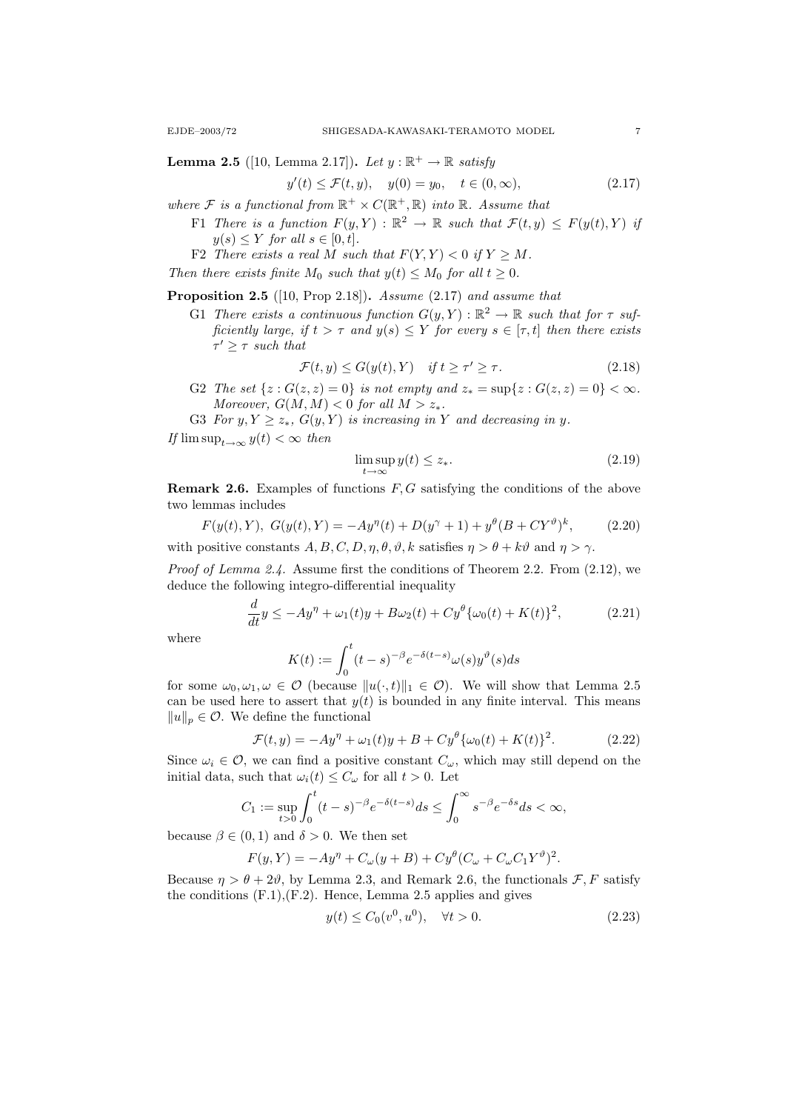**Lemma 2.5** ([10, Lemma 2.17]). Let  $y : \mathbb{R}^+ \to \mathbb{R}$  satisfy

$$
y'(t) \le \mathcal{F}(t, y), \quad y(0) = y_0, \quad t \in (0, \infty), \tag{2.17}
$$

- where F is a functional from  $\mathbb{R}^+ \times C(\mathbb{R}^+, \mathbb{R})$  into  $\mathbb{R}$ . Assume that
	- F1 There is a function  $F(y, Y) : \mathbb{R}^2 \to \mathbb{R}$  such that  $\mathcal{F}(t, y) \leq F(y(t), Y)$  if  $y(s) \leq Y$  for all  $s \in [0, t]$ .
	- F2 There exists a real M such that  $F(Y, Y) < 0$  if  $Y \geq M$ .
- Then there exists finite  $M_0$  such that  $y(t) \leq M_0$  for all  $t \geq 0$ .

**Proposition 2.5** ([10, Prop 2.18]). Assume  $(2.17)$  and assume that

G1 There exists a continuous function  $G(y, Y) : \mathbb{R}^2 \to \mathbb{R}$  such that for  $\tau$  sufficiently large, if  $t > \tau$  and  $y(s) \leq Y$  for every  $s \in [\tau, t]$  then there exists  $\tau' \geq \tau$  such that

$$
\mathcal{F}(t, y) \le G(y(t), Y) \quad \text{if } t \ge \tau' \ge \tau. \tag{2.18}
$$

- G2 The set  $\{z : G(z, z) = 0\}$  is not empty and  $z_* = \sup\{z : G(z, z) = 0\} < \infty$ . Moreover,  $G(M, M) < 0$  for all  $M > z_*$ .
- G3 For  $y, Y \ge z_*$ ,  $G(y, Y)$  is increasing in Y and decreasing in y.

If  $\limsup_{t\to\infty} y(t) < \infty$  then

$$
\limsup_{t \to \infty} y(t) \le z_*.\tag{2.19}
$$

**Remark 2.6.** Examples of functions  $F, G$  satisfying the conditions of the above two lemmas includes

$$
F(y(t),Y), G(y(t),Y) = -Ay^{\eta}(t) + D(y^{\gamma}+1) + y^{\theta}(B+CY^{\vartheta})^{k}, \qquad (2.20)
$$

with positive constants  $A, B, C, D, \eta, \theta, \vartheta, k$  satisfies  $\eta > \theta + k\vartheta$  and  $\eta > \gamma$ .

Proof of Lemma 2.4. Assume first the conditions of Theorem 2.2. From (2.12), we deduce the following integro-differential inequality

$$
\frac{d}{dt}y \le -Ay^{\eta} + \omega_1(t)y + B\omega_2(t) + Cy^{\theta}\{\omega_0(t) + K(t)\}^2,
$$
\n(2.21)

where

$$
K(t):=\int_0^t(t-s)^{-\beta}e^{-\delta(t-s)}\omega(s)y^\vartheta(s)ds
$$

for some  $\omega_0, \omega_1, \omega \in \mathcal{O}$  (because  $||u(\cdot, t)||_1 \in \mathcal{O}$ ). We will show that Lemma 2.5 can be used here to assert that  $y(t)$  is bounded in any finite interval. This means  $||u||_p \in \mathcal{O}$ . We define the functional

$$
\mathcal{F}(t, y) = -Ay^{\eta} + \omega_1(t)y + B + Cy^{\theta}\{\omega_0(t) + K(t)\}^2.
$$
 (2.22)

Since  $\omega_i \in \mathcal{O}$ , we can find a positive constant  $C_{\omega}$ , which may still depend on the initial data, such that  $\omega_i(t) \leq C_\omega$  for all  $t > 0$ . Let

$$
C_1 := \sup_{t>0} \int_0^t (t-s)^{-\beta} e^{-\delta(t-s)} ds \le \int_0^\infty s^{-\beta} e^{-\delta s} ds < \infty,
$$

because  $\beta \in (0,1)$  and  $\delta > 0$ . We then set

$$
F(y,Y) = -Ay^{\eta} + C_{\omega}(y+B) + Cy^{\theta}(C_{\omega} + C_{\omega}C_1Y^{\theta})^2.
$$

Because  $\eta > \theta + 2\vartheta$ , by Lemma 2.3, and Remark 2.6, the functionals  $\mathcal{F}, F$  satisfy the conditions  $(F.1), (F.2)$ . Hence, Lemma 2.5 applies and gives

$$
y(t) \le C_0(v^0, u^0), \quad \forall t > 0.
$$
 (2.23)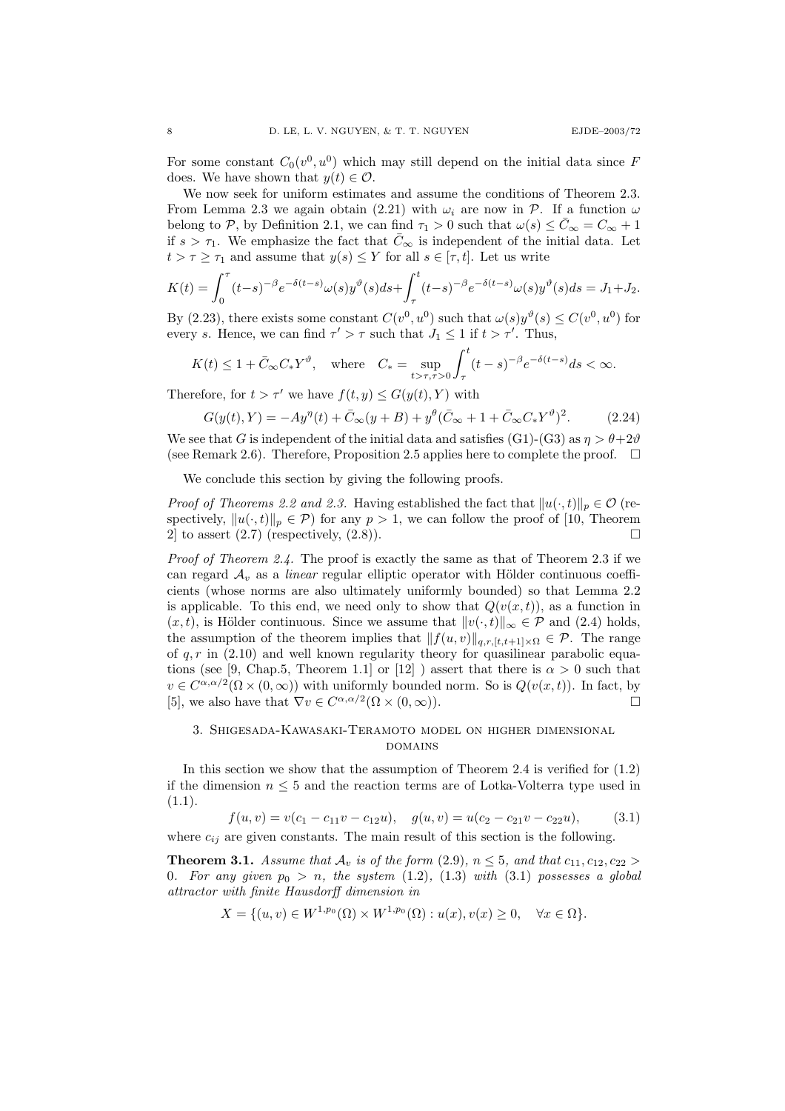For some constant  $C_0(v^0, u^0)$  which may still depend on the initial data since F does. We have shown that  $y(t) \in \mathcal{O}$ .

We now seek for uniform estimates and assume the conditions of Theorem 2.3. From Lemma 2.3 we again obtain (2.21) with  $\omega_i$  are now in P. If a function  $\omega$ belong to P, by Definition 2.1, we can find  $\tau_1 > 0$  such that  $\omega(s) \leq \bar{C}_{\infty} = C_{\infty} + 1$ if  $s > \tau_1$ . We emphasize the fact that  $\bar{C}_{\infty}$  is independent of the initial data. Let  $t > \tau \geq \tau_1$  and assume that  $y(s) \leq Y$  for all  $s \in [\tau, t]$ . Let us write

$$
K(t) = \int_0^{\tau} (t-s)^{-\beta} e^{-\delta(t-s)} \omega(s) y^{\vartheta}(s) ds + \int_{\tau}^t (t-s)^{-\beta} e^{-\delta(t-s)} \omega(s) y^{\vartheta}(s) ds = J_1 + J_2.
$$

By (2.23), there exists some constant  $C(v^0, u^0)$  such that  $\omega(s)y^{\vartheta}(s) \leq C(v^0, u^0)$  for every s. Hence, we can find  $\tau' > \tau$  such that  $J_1 \leq 1$  if  $t > \tau'$ . Thus,

$$
K(t) \le 1 + \bar{C}_{\infty} C_* Y^{\vartheta}
$$
, where  $C_* = \sup_{t > \tau, \tau > 0} \int_{\tau}^t (t - s)^{-\beta} e^{-\delta(t - s)} ds < \infty$ .

Therefore, for  $t > \tau'$  we have  $f(t, y) \le G(y(t), Y)$  with

$$
G(y(t),Y) = -Ay^{\eta}(t) + \bar{C}_{\infty}(y+B) + y^{\theta}(\bar{C}_{\infty} + 1 + \bar{C}_{\infty}C_{*}Y^{\vartheta})^{2}.
$$
 (2.24)

We see that G is independent of the initial data and satisfies (G1)-(G3) as  $\eta > \theta + 2\vartheta$ (see Remark 2.6). Therefore, Proposition 2.5 applies here to complete the proof.  $\Box$ 

We conclude this section by giving the following proofs.

*Proof of Theorems 2.2 and 2.3.* Having established the fact that  $||u(\cdot, t)||_p \in \mathcal{O}$  (respectively,  $||u(\cdot, t)||_p \in \mathcal{P}$ ) for any  $p > 1$ , we can follow the proof of [10, Theorem 2 to assert  $(2.7)$  (respectively,  $(2.8)$ ).

*Proof of Theorem 2.4.* The proof is exactly the same as that of Theorem 2.3 if we can regard  $\mathcal{A}_v$  as a *linear* regular elliptic operator with Hölder continuous coefficients (whose norms are also ultimately uniformly bounded) so that Lemma 2.2 is applicable. To this end, we need only to show that  $Q(v(x, t))$ , as a function in  $(x, t)$ , is Hölder continuous. Since we assume that  $||v(\cdot, t)||_{\infty} \in \mathcal{P}$  and (2.4) holds, the assumption of the theorem implies that  $||f(u, v)||_{q, r, [t,t+1]\times\Omega} \in \mathcal{P}$ . The range of  $q, r$  in (2.10) and well known regularity theory for quasilinear parabolic equations (see [9, Chap.5, Theorem 1.1] or [12]) assert that there is  $\alpha > 0$  such that  $v \in C^{\alpha,\alpha/2}(\Omega \times (0,\infty))$  with uniformly bounded norm. So is  $Q(v(x,t))$ . In fact, by [5], we also have that  $\nabla v \in C^{\alpha, \alpha/2}(\Omega \times (0, \infty)).$ 

## 3. Shigesada-Kawasaki-Teramoto model on higher dimensional domains

In this section we show that the assumption of Theorem 2.4 is verified for  $(1.2)$ if the dimension  $n \leq 5$  and the reaction terms are of Lotka-Volterra type used in  $(1.1).$ 

 $f(u, v) = v(c_1 - c_{11}v - c_{12}u), \quad g(u, v) = u(c_2 - c_{21}v - c_{22}u),$  (3.1) where  $c_{ij}$  are given constants. The main result of this section is the following.

**Theorem 3.1.** Assume that  $\mathcal{A}_v$  is of the form (2.9),  $n \leq 5$ , and that  $c_{11}, c_{12}, c_{22} >$ 0. For any given  $p_0 > n$ , the system (1.2), (1.3) with (3.1) possesses a global attractor with finite Hausdorff dimension in

$$
X = \{(u, v) \in W^{1, p_0}(\Omega) \times W^{1, p_0}(\Omega) : u(x), v(x) \ge 0, \quad \forall x \in \Omega\}.
$$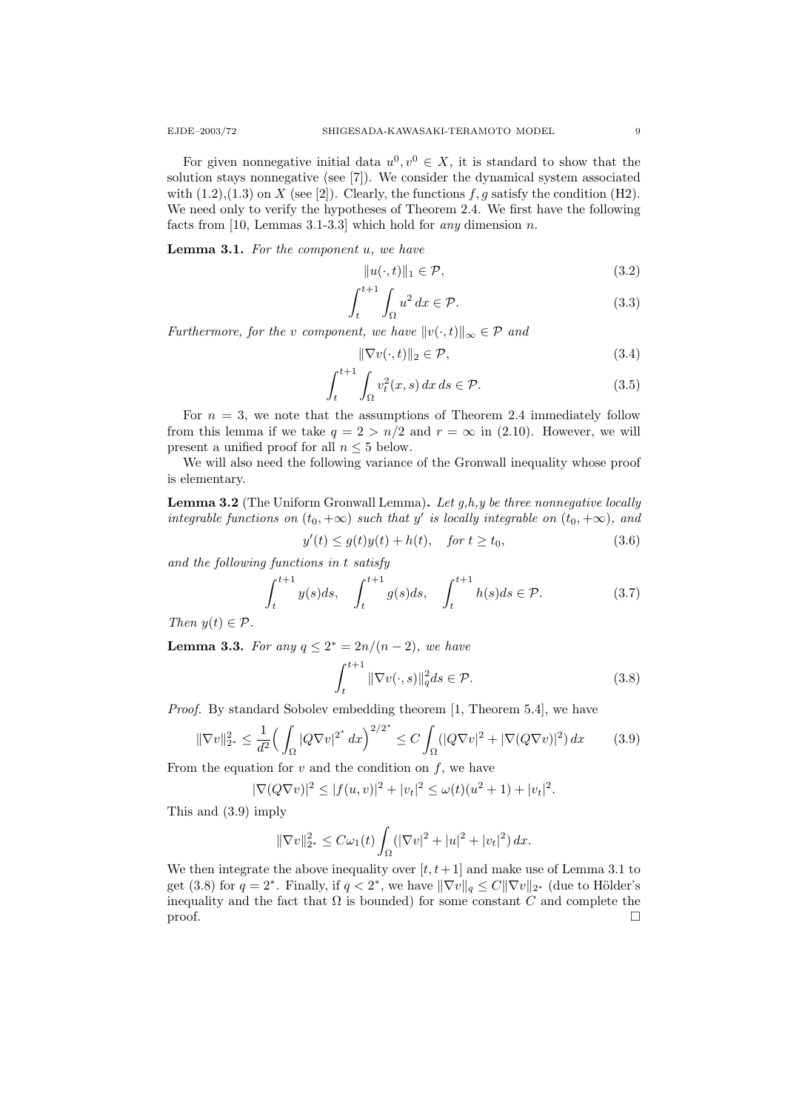For given nonnegative initial data  $u^0, v^0 \in X$ , it is standard to show that the solution stays nonnegative (see [7]). We consider the dynamical system associated with  $(1.2),(1.3)$  on X (see [2]). Clearly, the functions  $f, g$  satisfy the condition (H2). We need only to verify the hypotheses of Theorem 2.4. We first have the following facts from [10, Lemmas 3.1-3.3] which hold for *any* dimension *n*.

Lemma 3.1. For the component u, we have

$$
||u(\cdot,t)||_1 \in \mathcal{P},\tag{3.2}
$$

$$
\int_{t}^{t+1} \int_{\Omega} u^2 dx \in \mathcal{P}.
$$
 (3.3)

Furthermore, for the v component, we have  $||v(\cdot, t)||_{\infty} \in \mathcal{P}$  and

$$
\|\nabla v(\cdot,t)\|_2 \in \mathcal{P},\tag{3.4}
$$

$$
\int_{t}^{t+1} \int_{\Omega} v_t^2(x, s) dx ds \in \mathcal{P}.
$$
\n(3.5)

For  $n = 3$ , we note that the assumptions of Theorem 2.4 immediately follow from this lemma if we take  $q = 2 > n/2$  and  $r = \infty$  in (2.10). However, we will present a unified proof for all  $n \leq 5$  below.

We will also need the following variance of the Gronwall inequality whose proof is elementary.

**Lemma 3.2** (The Uniform Gronwall Lemma). Let  $q,h,y$  be three nonnegative locally integrable functions on  $(t_0, +\infty)$  such that y' is locally integrable on  $(t_0, +\infty)$ , and

$$
y'(t) \le g(t)y(t) + h(t), \quad \text{for } t \ge t_0,
$$
\n
$$
(3.6)
$$

and the following functions in t satisfy

$$
\int_{t}^{t+1} y(s)ds, \quad \int_{t}^{t+1} g(s)ds, \quad \int_{t}^{t+1} h(s)ds \in \mathcal{P}.
$$
 (3.7)

Then  $y(t) \in \mathcal{P}$ .

**Lemma 3.3.** For any  $q \leq 2^* = 2n/(n-2)$ , we have

$$
\int_{t}^{t+1} \|\nabla v(\cdot, s)\|_{q}^{2} ds \in \mathcal{P}.
$$
\n(3.8)

Proof. By standard Sobolev embedding theorem [1, Theorem 5.4], we have

$$
\|\nabla v\|_{2^*}^2 \le \frac{1}{d^2} \Big(\int_{\Omega} |Q \nabla v|^{2^*} dx\Big)^{2/2^*} \le C \int_{\Omega} (|Q \nabla v|^2 + |\nabla (Q \nabla v)|^2) dx \tag{3.9}
$$

From the equation for  $v$  and the condition on  $f$ , we have

$$
|\nabla (Q\nabla v)|^2 \le |f(u,v)|^2 + |v_t|^2 \le \omega(t)(u^2 + 1) + |v_t|^2.
$$

This and (3.9) imply

$$
\|\nabla v\|_{2^*}^2 \leq C\omega_1(t) \int_{\Omega} (|\nabla v|^2 + |u|^2 + |v_t|^2) \, dx.
$$

We then integrate the above inequality over  $[t, t+1]$  and make use of Lemma 3.1 to get (3.8) for  $q = 2^*$ . Finally, if  $q < 2^*$ , we have  $\|\nabla v\|_q \leq C \|\nabla v\|_{2^*}$  (due to Hölder's inequality and the fact that  $\Omega$  is bounded) for some constant C and complete the  $\Box$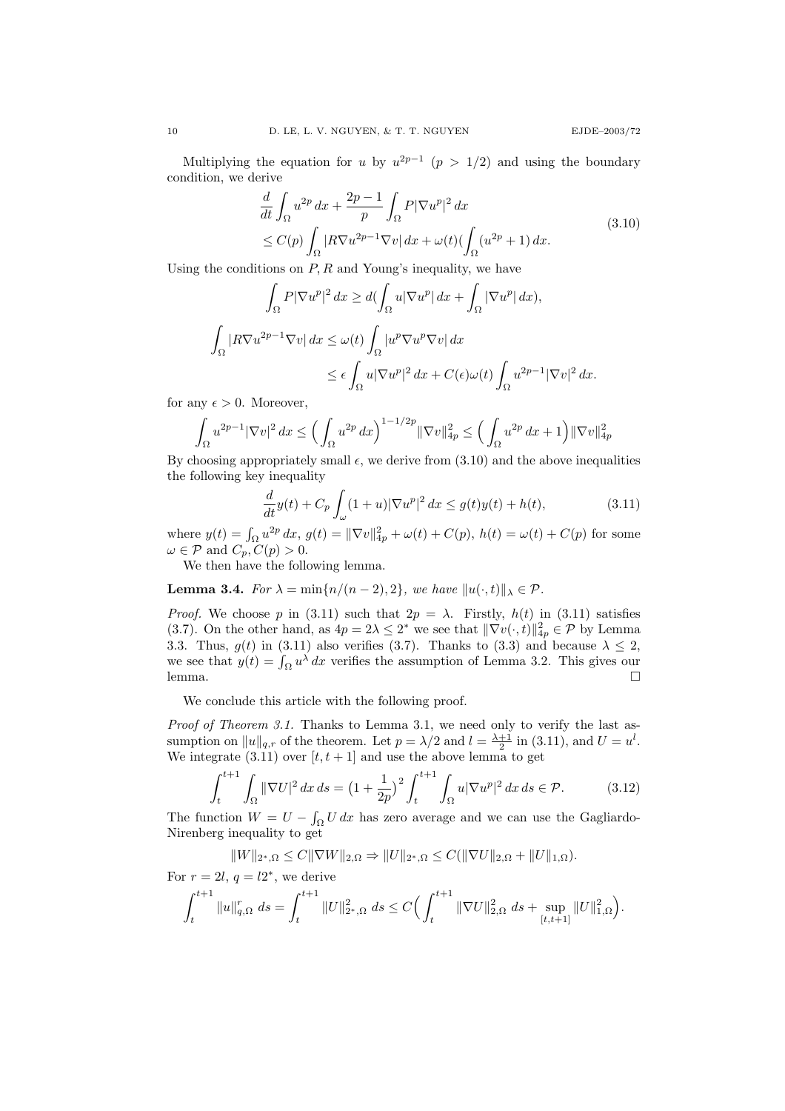Multiplying the equation for u by  $u^{2p-1}$   $(p > 1/2)$  and using the boundary condition, we derive

$$
\frac{d}{dt} \int_{\Omega} u^{2p} dx + \frac{2p-1}{p} \int_{\Omega} P |\nabla u^p|^2 dx
$$
\n
$$
\leq C(p) \int_{\Omega} |R \nabla u^{2p-1} \nabla v| dx + \omega(t) (\int_{\Omega} (u^{2p} + 1) dx).
$$
\n(3.10)

Using the conditions on  $P, R$  and Young's inequality, we have

$$
\int_{\Omega} P|\nabla u^p|^2 dx \ge d(\int_{\Omega} u|\nabla u^p| dx + \int_{\Omega} |\nabla u^p| dx),
$$
  

$$
\int_{\Omega} |R\nabla u^{2p-1} \nabla v| dx \le \omega(t) \int_{\Omega} |u^p \nabla u^p \nabla v| dx
$$
  

$$
\le \epsilon \int_{\Omega} u|\nabla u^p|^2 dx + C(\epsilon) \omega(t) \int_{\Omega} u^{2p-1} |\nabla v|^2 dx.
$$

for any  $\epsilon > 0$ . Moreover,

$$
\int_{\Omega} u^{2p-1} |\nabla v|^2 dx \le \left( \int_{\Omega} u^{2p} dx \right)^{1-1/2p} ||\nabla v||_{4p}^2 \le \left( \int_{\Omega} u^{2p} dx + 1 \right) ||\nabla v||_{4p}^2
$$

By choosing appropriately small  $\epsilon$ , we derive from  $(3.10)$  and the above inequalities the following key inequality

$$
\frac{d}{dt}y(t) + C_p \int_{\omega} (1+u)|\nabla u^p|^2 dx \le g(t)y(t) + h(t),
$$
\n(3.11)

where  $y(t) = \int_{\Omega} u^{2p} dx$ ,  $g(t) = ||\nabla v||_{4p}^2 + \omega(t) + C(p)$ ,  $h(t) = \omega(t) + C(p)$  for some  $\omega \in \mathcal{P}$  and  $C_p, C(p) > 0$ .

We then have the following lemma.

**Lemma 3.4.** For  $\lambda = \min\{n/(n-2), 2\}$ , we have  $||u(\cdot, t)||_{\lambda} \in \mathcal{P}$ .

*Proof.* We choose p in (3.11) such that  $2p = \lambda$ . Firstly,  $h(t)$  in (3.11) satisfies (3.7). On the other hand, as  $4p = 2\lambda \leq 2^*$  we see that  $\|\nabla v(\cdot, t)\|_{4p}^2 \in \mathcal{P}$  by Lemma 3.3. Thus,  $g(t)$  in (3.11) also verifies (3.7). Thanks to (3.3) and because  $\lambda \leq 2$ , we see that  $y(t) = \int_{\Omega} u^{\lambda} dx$  verifies the assumption of Lemma 3.2. This gives our  $l$ emma.

We conclude this article with the following proof.

Proof of Theorem 3.1. Thanks to Lemma 3.1, we need only to verify the last assumption on  $||u||_{q,r}$  of the theorem. Let  $p = \lambda/2$  and  $l = \frac{\lambda+1}{2}$  in (3.11), and  $U = u^l$ . We integrate  $(3.11)$  over  $[t, t + 1]$  and use the above lemma to get

$$
\int_{t}^{t+1} \int_{\Omega} \|\nabla U\|^{2} dx ds = \left(1 + \frac{1}{2p}\right)^{2} \int_{t}^{t+1} \int_{\Omega} u|\nabla u^{p}|^{2} dx ds \in \mathcal{P}.
$$
 (3.12)

The function  $W = U - \int_{\Omega} U dx$  has zero average and we can use the Gagliardo-Nirenberg inequality to get

$$
||W||_{2^*,\Omega} \leq C||\nabla W||_{2,\Omega} \Rightarrow ||U||_{2^*,\Omega} \leq C(||\nabla U||_{2,\Omega} + ||U||_{1,\Omega}).
$$

For 
$$
r = 2l
$$
,  $q = l2^*$ , we derive  
\n
$$
\int_{t}^{t+1} \|u\|_{q,\Omega}^{r} ds = \int_{t}^{t+1} \|U\|_{2^*,\Omega}^{2} ds \leq C \Big(\int_{t}^{t+1} \|\nabla U\|_{2,\Omega}^{2} ds + \sup_{[t,t+1]} \|U\|_{1,\Omega}^{2} \Big).
$$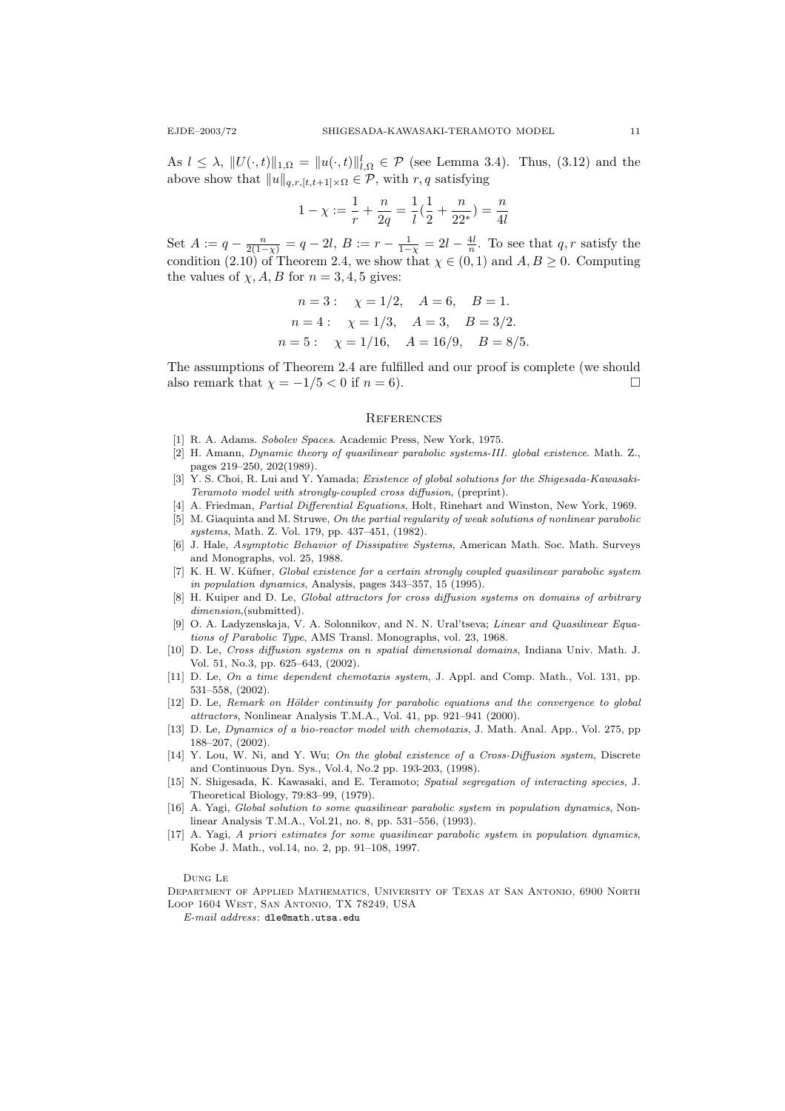As  $l \leq \lambda$ ,  $||U(\cdot, t)||_{1,\Omega} = ||u(\cdot, t)||_{l,\Omega}^{l} \in \mathcal{P}$  (see Lemma 3.4). Thus, (3.12) and the above show that  $||u||_{q,r,[t,t+1]\times\Omega} \in \mathcal{P}$ , with  $r, q$  satisfying

$$
1 - \chi := \frac{1}{r} + \frac{n}{2q} = \frac{1}{l}(\frac{1}{2} + \frac{n}{22}) = \frac{n}{4l}
$$

Set  $A := q - \frac{n}{2(1-\chi)} = q - 2l$ ,  $B := r - \frac{1}{1-\chi} = 2l - \frac{4l}{n}$ . To see that q, r satisfy the condition (2.10) of Theorem 2.4, we show that  $\chi \in (0,1)$  and  $A, B \geq 0$ . Computing the values of  $\chi$ , A, B for  $n = 3, 4, 5$  gives:

*n* = 3 : 
$$
\chi = 1/2
$$
, *A* = 6, *B* = 1.  
\n*n* = 4 :  $\chi = 1/3$ , *A* = 3, *B* = 3/2.  
\n*n* = 5 :  $\chi = 1/16$ , *A* = 16/9, *B* = 8/5

The assumptions of Theorem 2.4 are fulfilled and our proof is complete (we should also remark that  $\chi = -1/5 < 0$  if  $n = 6$ ).

#### **REFERENCES**

- [1] R. A. Adams. Sobolev Spaces. Academic Press, New York, 1975.
- [2] H. Amann, Dynamic theory of quasilinear parabolic systems-III. global existence. Math. Z., pages 219–250, 202(1989).
- [3] Y. S. Choi, R. Lui and Y. Yamada; Existence of global solutions for the Shigesada-Kawasaki-Teramoto model with strongly-coupled cross diffusion, (preprint).
- [4] A. Friedman, Partial Differential Equations, Holt, Rinehart and Winston, New York, 1969. [5] M. Giaquinta and M. Struwe, On the partial regularity of weak solutions of nonlinear parabolic
- systems, Math. Z. Vol. 179, pp. 437–451, (1982).
- [6] J. Hale, Asymptotic Behavior of Dissipative Systems, American Math. Soc. Math. Surveys and Monographs, vol. 25, 1988.
- [7] K. H. W. Küfner, Global existence for a certain strongly coupled quasilinear parabolic system in population dynamics, Analysis, pages 343–357, 15 (1995).
- [8] H. Kuiper and D. Le, Global attractors for cross diffusion systems on domains of arbitrary dimension,(submitted).
- [9] O. A. Ladyzenskaja, V. A. Solonnikov, and N. N. Ural'tseva; Linear and Quasilinear Equations of Parabolic Type, AMS Transl. Monographs, vol. 23, 1968.
- [10] D. Le, Cross diffusion systems on n spatial dimensional domains, Indiana Univ. Math. J. Vol. 51, No.3, pp. 625–643, (2002).
- [11] D. Le, On a time dependent chemotaxis system, J. Appl. and Comp. Math., Vol. 131, pp. 531–558, (2002).
- [12] D. Le, Remark on Hölder continuity for parabolic equations and the convergence to global attractors, Nonlinear Analysis T.M.A., Vol. 41, pp. 921–941 (2000).
- [13] D. Le, Dynamics of a bio-reactor model with chemotaxis, J. Math. Anal. App., Vol. 275, pp 188–207, (2002).
- [14] Y. Lou, W. Ni, and Y. Wu; On the global existence of a Cross-Diffusion system, Discrete and Continuous Dyn. Sys., Vol.4, No.2 pp. 193-203, (1998).
- [15] N. Shigesada, K. Kawasaki, and E. Teramoto; Spatial segregation of interacting species, J. Theoretical Biology, 79:83–99, (1979).
- [16] A. Yagi, Global solution to some quasilinear parabolic system in population dynamics, Nonlinear Analysis T.M.A., Vol.21, no. 8, pp. 531–556, (1993).
- [17] A. Yagi, A priori estimates for some quasilinear parabolic system in population dynamics, Kobe J. Math., vol.14, no. 2, pp. 91–108, 1997.

Dung Le

Department of Applied Mathematics, University of Texas at San Antonio, 6900 North Loop 1604 West, San Antonio, TX 78249, USA

E-mail address: dle@math.utsa.edu